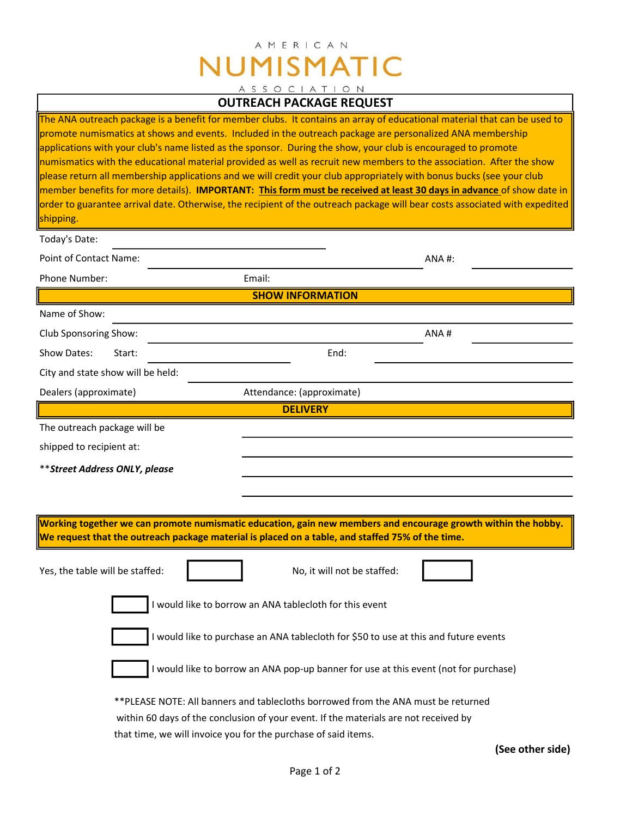# AMERICAN NUMISMATIC ASSOCIATION

## OUTREACH PACKAGE REQUEST

| The ANA outreach package is a benefit for member clubs. It contains an array of educational material that can be used to<br>promote numismatics at shows and events. Included in the outreach package are personalized ANA membership<br>applications with your club's name listed as the sponsor. During the show, your club is encouraged to promote<br>numismatics with the educational material provided as well as recruit new members to the association. After the show<br>please return all membership applications and we will credit your club appropriately with bonus bucks (see your club<br>member benefits for more details). IMPORTANT: This form must be received at least 30 days in advance of show date in<br>order to guarantee arrival date. Otherwise, the recipient of the outreach package will bear costs associated with expedited<br>shipping.<br>Today's Date:<br>Point of Contact Name: |                                                                                                                                                                                                                                             | ANA#: |
|-----------------------------------------------------------------------------------------------------------------------------------------------------------------------------------------------------------------------------------------------------------------------------------------------------------------------------------------------------------------------------------------------------------------------------------------------------------------------------------------------------------------------------------------------------------------------------------------------------------------------------------------------------------------------------------------------------------------------------------------------------------------------------------------------------------------------------------------------------------------------------------------------------------------------|---------------------------------------------------------------------------------------------------------------------------------------------------------------------------------------------------------------------------------------------|-------|
| Phone Number:                                                                                                                                                                                                                                                                                                                                                                                                                                                                                                                                                                                                                                                                                                                                                                                                                                                                                                         | Email:                                                                                                                                                                                                                                      |       |
| <b>SHOW INFORMATION</b>                                                                                                                                                                                                                                                                                                                                                                                                                                                                                                                                                                                                                                                                                                                                                                                                                                                                                               |                                                                                                                                                                                                                                             |       |
| Name of Show:                                                                                                                                                                                                                                                                                                                                                                                                                                                                                                                                                                                                                                                                                                                                                                                                                                                                                                         |                                                                                                                                                                                                                                             |       |
| Club Sponsoring Show:                                                                                                                                                                                                                                                                                                                                                                                                                                                                                                                                                                                                                                                                                                                                                                                                                                                                                                 |                                                                                                                                                                                                                                             | ANA#  |
| Show Dates:<br>Start:                                                                                                                                                                                                                                                                                                                                                                                                                                                                                                                                                                                                                                                                                                                                                                                                                                                                                                 | End:                                                                                                                                                                                                                                        |       |
| City and state show will be held:                                                                                                                                                                                                                                                                                                                                                                                                                                                                                                                                                                                                                                                                                                                                                                                                                                                                                     |                                                                                                                                                                                                                                             |       |
| Dealers (approximate)                                                                                                                                                                                                                                                                                                                                                                                                                                                                                                                                                                                                                                                                                                                                                                                                                                                                                                 | Attendance: (approximate)                                                                                                                                                                                                                   |       |
|                                                                                                                                                                                                                                                                                                                                                                                                                                                                                                                                                                                                                                                                                                                                                                                                                                                                                                                       | <b>DELIVERY</b>                                                                                                                                                                                                                             |       |
| The outreach package will be                                                                                                                                                                                                                                                                                                                                                                                                                                                                                                                                                                                                                                                                                                                                                                                                                                                                                          |                                                                                                                                                                                                                                             |       |
| shipped to recipient at:                                                                                                                                                                                                                                                                                                                                                                                                                                                                                                                                                                                                                                                                                                                                                                                                                                                                                              |                                                                                                                                                                                                                                             |       |
| ** Street Address ONLY, please                                                                                                                                                                                                                                                                                                                                                                                                                                                                                                                                                                                                                                                                                                                                                                                                                                                                                        |                                                                                                                                                                                                                                             |       |
|                                                                                                                                                                                                                                                                                                                                                                                                                                                                                                                                                                                                                                                                                                                                                                                                                                                                                                                       |                                                                                                                                                                                                                                             |       |
|                                                                                                                                                                                                                                                                                                                                                                                                                                                                                                                                                                                                                                                                                                                                                                                                                                                                                                                       |                                                                                                                                                                                                                                             |       |
| Working together we can promote numismatic education, gain new members and encourage growth within the hobby.<br>We request that the outreach package material is placed on a table, and staffed 75% of the time.                                                                                                                                                                                                                                                                                                                                                                                                                                                                                                                                                                                                                                                                                                     |                                                                                                                                                                                                                                             |       |
| Yes, the table will be staffed:                                                                                                                                                                                                                                                                                                                                                                                                                                                                                                                                                                                                                                                                                                                                                                                                                                                                                       | No, it will not be staffed:                                                                                                                                                                                                                 |       |
| I would like to borrow an ANA tablecloth for this event                                                                                                                                                                                                                                                                                                                                                                                                                                                                                                                                                                                                                                                                                                                                                                                                                                                               |                                                                                                                                                                                                                                             |       |
| I would like to purchase an ANA tablecloth for \$50 to use at this and future events                                                                                                                                                                                                                                                                                                                                                                                                                                                                                                                                                                                                                                                                                                                                                                                                                                  |                                                                                                                                                                                                                                             |       |
|                                                                                                                                                                                                                                                                                                                                                                                                                                                                                                                                                                                                                                                                                                                                                                                                                                                                                                                       | I would like to borrow an ANA pop-up banner for use at this event (not for purchase)                                                                                                                                                        |       |
|                                                                                                                                                                                                                                                                                                                                                                                                                                                                                                                                                                                                                                                                                                                                                                                                                                                                                                                       | **PLEASE NOTE: All banners and tablecloths borrowed from the ANA must be returned<br>within 60 days of the conclusion of your event. If the materials are not received by<br>that time, we will invoice you for the purchase of said items. |       |

(See other side)